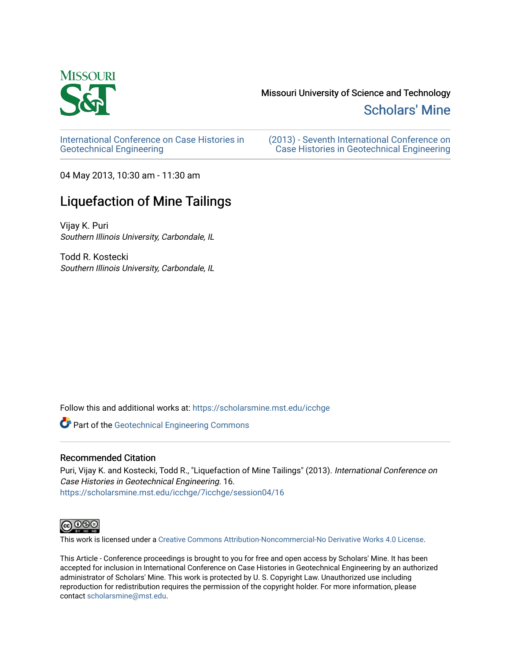

## Missouri University of Science and Technology

[Scholars' Mine](https://scholarsmine.mst.edu/) 

[International Conference on Case Histories in](https://scholarsmine.mst.edu/icchge)  [Geotechnical Engineering](https://scholarsmine.mst.edu/icchge)

[\(2013\) - Seventh International Conference on](https://scholarsmine.mst.edu/icchge/7icchge)  [Case Histories in Geotechnical Engineering](https://scholarsmine.mst.edu/icchge/7icchge) 

04 May 2013, 10:30 am - 11:30 am

# Liquefaction of Mine Tailings

Vijay K. Puri Southern Illinois University, Carbondale, IL

Todd R. Kostecki Southern Illinois University, Carbondale, IL

Follow this and additional works at: [https://scholarsmine.mst.edu/icchge](https://scholarsmine.mst.edu/icchge?utm_source=scholarsmine.mst.edu%2Ficchge%2F7icchge%2Fsession04%2F16&utm_medium=PDF&utm_campaign=PDFCoverPages) 

**Part of the Geotechnical Engineering Commons** 

### Recommended Citation

Puri, Vijay K. and Kostecki, Todd R., "Liquefaction of Mine Tailings" (2013). International Conference on Case Histories in Geotechnical Engineering. 16. [https://scholarsmine.mst.edu/icchge/7icchge/session04/16](https://scholarsmine.mst.edu/icchge/7icchge/session04/16?utm_source=scholarsmine.mst.edu%2Ficchge%2F7icchge%2Fsession04%2F16&utm_medium=PDF&utm_campaign=PDFCoverPages) 



This work is licensed under a [Creative Commons Attribution-Noncommercial-No Derivative Works 4.0 License.](https://creativecommons.org/licenses/by-nc-nd/4.0/)

This Article - Conference proceedings is brought to you for free and open access by Scholars' Mine. It has been accepted for inclusion in International Conference on Case Histories in Geotechnical Engineering by an authorized administrator of Scholars' Mine. This work is protected by U. S. Copyright Law. Unauthorized use including reproduction for redistribution requires the permission of the copyright holder. For more information, please contact [scholarsmine@mst.edu](mailto:scholarsmine@mst.edu).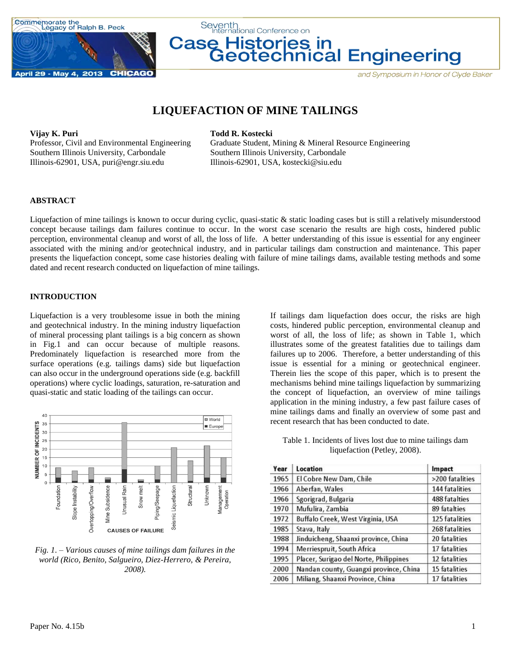



# **LIQUEFACTION OF MINE TAILINGS**

#### **Vijay K. Puri Todd R. Kostecki**

Southern Illinois University, Carbondale Southern Illinois University, Carbondale Illinois-62901, USA, puri@engr.siu.edu Illinois-62901, USA, kostecki@siu.edu

Professor, Civil and Environmental Engineering Graduate Student, Mining & Mineral Resource Engineering

#### **ABSTRACT**

Liquefaction of mine tailings is known to occur during cyclic, quasi-static & static loading cases but is still a relatively misunderstood concept because tailings dam failures continue to occur. In the worst case scenario the results are high costs, hindered public perception, environmental cleanup and worst of all, the loss of life. A better understanding of this issue is essential for any engineer associated with the mining and/or geotechnical industry, and in particular tailings dam construction and maintenance. This paper presents the liquefaction concept, some case histories dealing with failure of mine tailings dams, available testing methods and some dated and recent research conducted on liquefaction of mine tailings.

#### **INTRODUCTION**

Liquefaction is a very troublesome issue in both the mining and geotechnical industry. In the mining industry liquefaction of mineral processing plant tailings is a big concern as shown in Fig.1 and can occur because of multiple reasons. Predominately liquefaction is researched more from the surface operations (e.g. tailings dams) side but liquefaction can also occur in the underground operations side (e.g. backfill operations) where cyclic loadings, saturation, re-saturation and quasi-static and static loading of the tailings can occur.



*Fig. 1. – Various causes of mine tailings dam failures in the world (Rico, Benito, Salgueiro, Diez-Herrero, & Pereira, 2008).*

If tailings dam liquefaction does occur, the risks are high costs, hindered public perception, environmental cleanup and worst of all, the loss of life; as shown in Table 1, which illustrates some of the greatest fatalities due to tailings dam failures up to 2006. Therefore, a better understanding of this issue is essential for a mining or geotechnical engineer. Therein lies the scope of this paper, which is to present the mechanisms behind mine tailings liquefaction by summarizing the concept of liquefaction, an overview of mine tailings application in the mining industry, a few past failure cases of mine tailings dams and finally an overview of some past and recent research that has been conducted to date.

Table 1. Incidents of lives lost due to mine tailings dam liquefaction (Petley, 2008).

| Year | Location                               | Impact          |  |  |
|------|----------------------------------------|-----------------|--|--|
| 1965 | El Cobre New Dam, Chile                | >200 fatalities |  |  |
| 1966 | Aberfan, Wales                         | 144 fatalities  |  |  |
| 1966 | Sgorigrad, Bulgaria                    | 488 fatalties   |  |  |
| 1970 | Mufulira, Zambia                       | 89 fatalties    |  |  |
| 1972 | Buffalo Creek, West Virginia, USA      | 125 fatalities  |  |  |
| 1985 | Stava, Italy                           | 268 fatalities  |  |  |
| 1988 | Jinduicheng, Shaanxi province, China   | 20 fatalities   |  |  |
| 1994 | Merriespruit, South Africa             | 17 fatalities   |  |  |
| 1995 | Placer, Surigao del Norte, Philippines | 12 fatalities   |  |  |
| 2000 | Nandan county, Guangxi province, China | 15 fatalities   |  |  |
| 2006 | Miliang, Shaanxi Province, China       | 17 fatalities   |  |  |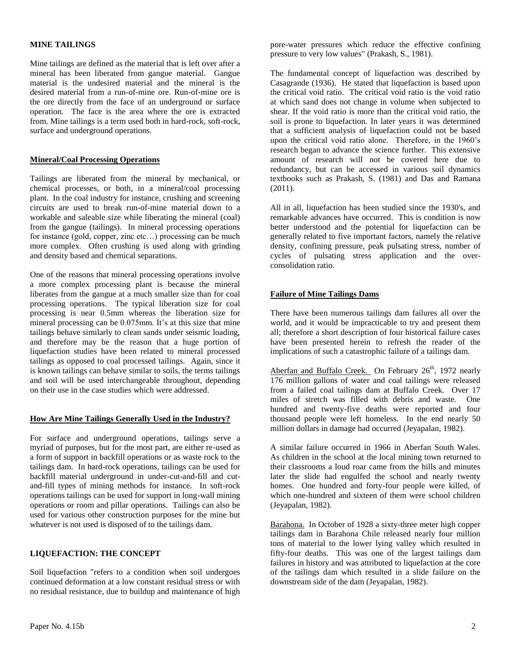#### **MINE TAILINGS**

Mine tailings are defined as the material that is left over after a mineral has been liberated from gangue material. Gangue material is the undesired material and the mineral is the desired material from a run-of-mine ore. Run-of-mine ore is the ore directly from the face of an underground or surface operation. The face is the area where the ore is extracted from. Mine tailings is a term used both in hard-rock, soft-rock, surface and underground operations.

#### **Mineral/Coal Processing Operations**

Tailings are liberated from the mineral by mechanical, or chemical processes, or both, in a mineral/coal processing plant. In the coal industry for instance, crushing and screening circuits are used to break run-of-mine material down to a workable and saleable size while liberating the mineral (coal) from the gangue (tailings). In mineral processing operations for instance (gold, copper, zinc etc…) processing can be much more complex. Often crushing is used along with grinding and density based and chemical separations.

One of the reasons that mineral processing operations involve a more complex processing plant is because the mineral liberates from the gangue at a much smaller size than for coal processing operations. The typical liberation size for coal processing is near 0.5mm whereas the liberation size for mineral processing can be 0.075mm. It's at this size that mine tailings behave similarly to clean sands under seismic loading, and therefore may be the reason that a huge portion of liquefaction studies have been related to mineral processed tailings as opposed to coal processed tailings. Again, since it is known tailings can behave similar to soils, the terms tailings and soil will be used interchangeable throughout, depending on their use in the case studies which were addressed.

#### **How Are Mine Tailings Generally Used in the Industry?**

For surface and underground operations, tailings serve a myriad of purposes, but for the most part, are either re-used as a form of support in backfill operations or as waste rock to the tailings dam. In hard-rock operations, tailings can be used for backfill material underground in under-cut-and-fill and cutand-fill types of mining methods for instance. In soft-rock operations tailings can be used for support in long-wall mining operations or room and pillar operations. Tailings can also be used for various other construction purposes for the mine but whatever is not used is disposed of to the tailings dam.

#### **LIQUEFACTION: THE CONCEPT**

Soil liquefaction "refers to a condition when soil undergoes continued deformation at a low constant residual stress or with no residual resistance, due to buildup and maintenance of high pore-water pressures which reduce the effective confining pressure to very low values" (Prakash, S., 1981).

The fundamental concept of liquefaction was described by Casagrande (1936). He stated that liquefaction is based upon the critical void ratio. The critical void ratio is the void ratio at which sand does not change in volume when subjected to shear. If the void ratio is more than the critical void ratio, the soil is prone to liquefaction. In later years it was determined that a sufficient analysis of liquefaction could not be based upon the critical void ratio alone. Therefore, in the 1960's research began to advance the science further. This extensive amount of research will not be covered here due to redundancy, but can be accessed in various soil dynamics textbooks such as Prakash, S. (1981) and Das and Ramana  $(2011).$ 

All in all, liquefaction has been studied since the 1930's, and remarkable advances have occurred. This is condition is now better understood and the potential for liquefaction can be generally related to five important factors, namely the relative density, confining pressure, peak pulsating stress, number of cycles of pulsating stress application and the overconsolidation ratio.

#### **Failure of Mine Tailings Dams**

There have been numerous tailings dam failures all over the world, and it would be impracticable to try and present them all; therefore a short description of four historical failure cases have been presented herein to refresh the reader of the implications of such a catastrophic failure of a tailings dam.

Aberfan and Buffalo Creek. On February  $26<sup>th</sup>$ , 1972 nearly 176 million gallons of water and coal tailings were released from a failed coal tailings dam at Buffalo Creek. Over 17 miles of stretch was filled with debris and waste. One hundred and twenty-five deaths were reported and four thousand people were left homeless. In the end nearly 50 million dollars in damage had occurred (Jeyapalan, 1982).

A similar failure occurred in 1966 in Aberfan South Wales. As children in the school at the local mining town returned to their classrooms a loud roar came from the hills and minutes later the slide had engulfed the school and nearly twenty homes. One hundred and forty-four people were killed, of which one-hundred and sixteen of them were school children (Jeyapalan, 1982).

Barahona. In October of 1928 a sixty-three meter high copper tailings dam in Barahona Chile released nearly four million tons of material to the lower lying valley which resulted in fifty-four deaths. This was one of the largest tailings dam failures in history and was attributed to liquefaction at the core of the tailings dam which resulted in a slide failure on the downstream side of the dam (Jeyapalan, 1982).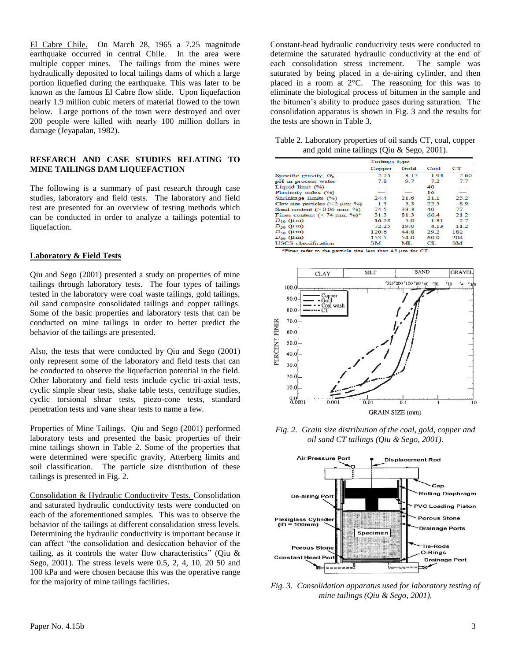El Cabre Chile. On March 28, 1965 a 7.25 magnitude earthquake occurred in central Chile. In the area were multiple copper mines. The tailings from the mines were hydraulically deposited to local tailings dams of which a large portion liquefied during the earthquake. This was later to be known as the famous El Cabre flow slide. Upon liquefaction nearly 1.9 million cubic meters of material flowed to the town below. Large portions of the town were destroyed and over 200 people were killed with nearly 100 million dollars in damage (Jeyapalan, 1982).

#### **RESEARCH AND CASE STUDIES RELATING TO MINE TAILINGS DAM LIQUEFACTION**

The following is a summary of past research through case studies, laboratory and field tests. The laboratory and field test are presented for an overview of testing methods which can be conducted in order to analyze a tailings potential to liquefaction.

#### **Laboratory & Field Tests**

Qiu and Sego (2001) presented a study on properties of mine tailings through laboratory tests. The four types of tailings tested in the laboratory were coal waste tailings, gold tailings, oil sand composite consolidated tailings and copper tailings. Some of the basic properties and laboratory tests that can be conducted on mine tailings in order to better predict the behavior of the tailings are presented.

Also, the tests that were conducted by Qiu and Sego (2001) only represent some of the laboratory and field tests that can be conducted to observe the liquefaction potential in the field. Other laboratory and field tests include cyclic tri-axial tests, cyclic simple shear tests, shake table tests, centrifuge studies, cyclic torsional shear tests, piezo-cone tests, standard penetration tests and vane shear tests to name a few.

Properties of Mine Tailings. Qiu and Sego (2001) performed laboratory tests and presented the basic properties of their mine tailings shown in Table 2. Some of the properties that were determined were specific gravity, Atterberg limits and soil classification. The particle size distribution of these tailings is presented in Fig. 2.

Consolidation & Hydraulic Conductivity Tests. Consolidation and saturated hydraulic conductivity tests were conducted on each of the aforementioned samples. This was to observe the behavior of the tailings at different consolidation stress levels. Determining the hydraulic conductivity is important because it can affect "the consolidation and desiccation behavior of the tailing, as it controls the water flow characteristics" (Oiu  $\&$ Sego, 2001). The stress levels were 0.5, 2, 4, 10, 20 50 and 100 kPa and were chosen because this was the operative range for the majority of mine tailings facilities.

Constant-head hydraulic conductivity tests were conducted to determine the saturated hydraulic conductivity at the end of each consolidation stress increment. The sample was saturated by being placed in a de-airing cylinder, and then placed in a room at 2°C. The reasoning for this was to eliminate the biological process of bitumen in the sample and the bitumen's ability to produce gases during saturation. The consolidation apparatus is shown in Fig. 3 and the results for the tests are shown in Table 3.

Table 2. Laboratory properties of oil sands CT, coal, copper and gold mine tailings (Qiu & Sego, 2001).

|                                                           | Tailings type  |      |      |      |  |
|-----------------------------------------------------------|----------------|------|------|------|--|
|                                                           |                |      |      |      |  |
|                                                           | Gold<br>Copper |      | Coal | CТ   |  |
| Specific gravity, $G_s$                                   | 2.75           | 3.17 | 1.94 | 2,60 |  |
| pH in process water                                       | 7.8            | 9.7  | 72   | 7.7  |  |
| Liquid limit (%)                                          |                |      | 40   |      |  |
| Plasticity index (%)                                      |                |      | 16   |      |  |
| Shrinkage limits (%)                                      | 244            | 21.6 | 21.1 | 25.2 |  |
| Clay size particles $(< 2 \mu m$ ; %)                     | 1 <sup>3</sup> | 53   | 22.5 | 89   |  |
| Sand content $(> 0.06$ mm; %)                             | 74.5           | 33.3 | 40   | 77   |  |
| Fines content $(< 74 \text{ }\mu\text{m}; \frac{9}{6})^*$ | 313            | 813  | 66.4 | 212  |  |
| $D_{10}$ (um)                                             | 16.28          | 5.0  | 1.31 | 27   |  |
| $D_{30}$ (um)                                             | 72.25          | 19.0 | 4.13 | 11.2 |  |
| $D_{50}$ ( $\mu$ m)                                       | 120.6          | 44.8 | 292  | 182  |  |
| $D_{60}$ ( $\mu$ m)                                       | 153.5          | 54.0 | 60.0 | 204  |  |
| <b>USCS</b> classification                                | SM             | MI.  | CT.  | SM   |  |

\*Fines refer to the particle size less than 45 µm for CT.



*Fig. 2. Grain size distribution of the coal, gold, copper and oil sand CT tailings (Qiu & Sego, 2001).*



*Fig. 3. Consolidation apparatus used for laboratory testing of mine tailings (Qiu & Sego, 2001).*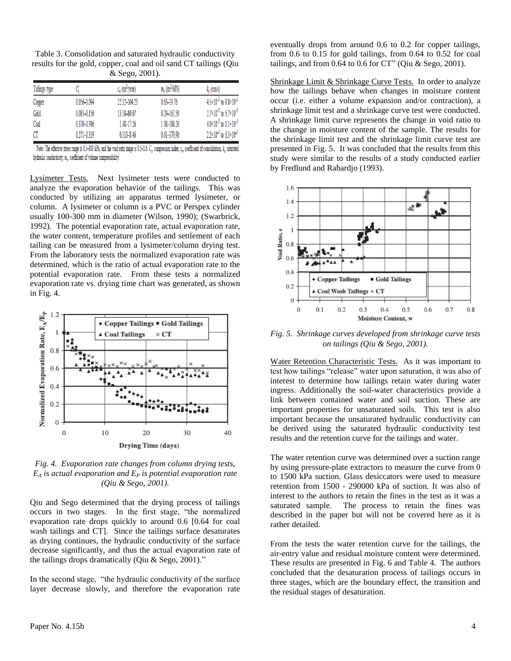| Table 3. Consolidation and saturated hydraulic conductivity      |
|------------------------------------------------------------------|
| results for the gold, copper, coal and oil sand CT tailings (Qiu |
| & Sego, 2001).                                                   |

| Tailings type | c.              | $c_v$ (m <sup>2</sup> /year) | $m_v$ (m <sup>2</sup> /MN) | $k_{c}$ (cm/s)                               |
|---------------|-----------------|------------------------------|----------------------------|----------------------------------------------|
| Copper        | 0.056-0.094     | $22.32 - 104.23$             | $0.63 - 19.76$             | $4.5 \times 10^{-5}$ to $9.8 \times 10^{-5}$ |
| Gold          | 0.083-0.156     | 13.58-80.07                  | $0.29 - 162.50$            | $2.7 \times 10^{-5}$ to 6.7 $\times 10^{-5}$ |
| Coal          | $0.370 - 0.396$ | 148-1726                     | 1.08-188.20                | $4.0 \times 10^{-7}$ to $1.1 \times 10^{-5}$ |
| CT            | $0.271 - 0.319$ | $0310 - 846$                 | $0.61 - 379.90$            | $2.2 \times 10^{-7}$ to 6.3×10 <sup>-7</sup> |

Note: The effective stress range is 0.5-100 kPa, and the void ratio range is 0.5-1.6. C., compression index; c., coefficient of consolidation; k, saturated hydraulic conductivity; m., coefficient of volume compressibility.

Lysimeter Tests. Next lysimeter tests were conducted to analyze the evaporation behavior of the tailings. This was conducted by utilizing an apparatus termed lysimeter, or column. A lysimeter or column is a PVC or Perspex cylinder usually 100-300 mm in diameter (Wilson, 1990); (Swarbrick, 1992). The potential evaporation rate, actual evaporation rate, the water content, temperature profiles and settlement of each tailing can be measured from a lysimeter/column drying test. From the laboratory tests the normalized evaporation rate was determined, which is the ratio of actual evaporation rate to the potential evaporation rate. From these tests a normalized evaporation rate vs. drying time chart was generated, as shown in Fig. 4.



*Fig. 4. Evaporation rate changes from column drying tests,*   $E_A$  *is actual evaporation and*  $E_P$  *is potential evaporation rate (Qiu & Sego, 2001).*

Qiu and Sego determined that the drying process of tailings occurs in two stages. In the first stage, "the normalized evaporation rate drops quickly to around 0.6 [0.64 for coal wash tailings and CT]. Since the tailings surface desaturates as drying continues, the hydraulic conductivity of the surface decrease significantly, and thus the actual evaporation rate of the tailings drops dramatically (Qiu  $&$  Sego, 2001)."

In the second stage, "the hydraulic conductivity of the surface layer decrease slowly, and therefore the evaporation rate eventually drops from around 0.6 to 0.2 for copper tailings, from 0.6 to 0.15 for gold tailings, from 0.64 to 0.52 for coal tailings, and from  $0.64$  to  $0.6$  for CT" (Qiu & Sego, 2001).

Shrinkage Limit & Shrinkage Curve Tests. In order to analyze how the tailings behave when changes in moisture content occur (i.e. either a volume expansion and/or contraction), a shrinkage limit test and a shrinkage curve test were conducted. A shrinkage limit curve represents the change in void ratio to the change in moisture content of the sample. The results for the shrinkage limit test and the shrinkage limit curve test are presented in Fig. 5. It was concluded that the results from this study were similar to the results of a study conducted earlier by Fredlund and Rahardjo (1993).



*Fig. 5. Shrinkage curves developed from shrinkage curve tests on tailings (Qiu & Sego, 2001).*

Water Retention Characteristic Tests. As it was important to test how tailings "release" water upon saturation, it was also of interest to determine how tailings retain water during water ingress. Additionally the soil-water characteristics provide a link between contained water and soil suction. These are important properties for unsaturated soils. This test is also important because the unsaturated hydraulic conductivity can be derived using the saturated hydraulic conductivity test results and the retention curve for the tailings and water.

The water retention curve was determined over a suction range by using pressure-plate extractors to measure the curve from 0 to 1500 kPa suction. Glass desiccators were used to measure retention from 1500 - 290000 kPa of suction. It was also of interest to the authors to retain the fines in the test as it was a saturated sample. The process to retain the fines was described in the paper but will not be covered here as it is rather detailed.

From the tests the water retention curve for the tailings, the air-entry value and residual moisture content were determined. These results are presented in Fig. 6 and Table 4. The authors concluded that the desaturation process of tailings occurs in three stages, which are the boundary effect, the transition and the residual stages of desaturation.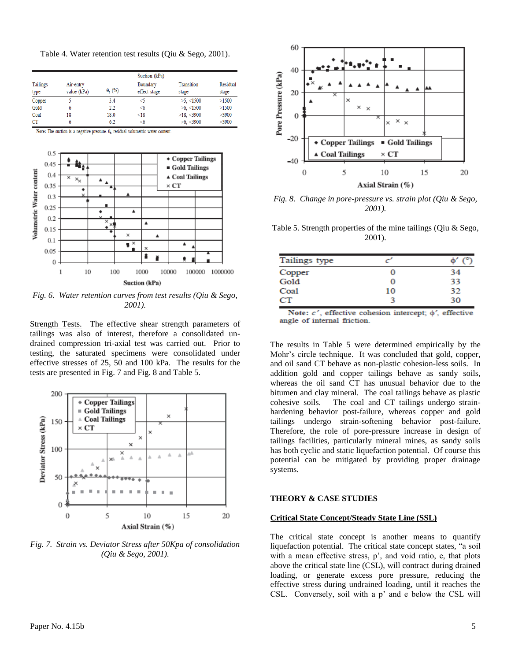Table 4. Water retention test results (Qiu & Sego, 2001).

|                  |                          |                | Suction (kPa)            |                     |                   |  |  |  |
|------------------|--------------------------|----------------|--------------------------|---------------------|-------------------|--|--|--|
| Tailings<br>type | Air-entry<br>value (kPa) | $\theta_r$ (%) | Boundary<br>effect stage | Transition<br>stage | Residual<br>stage |  |  |  |
| Copper           |                          | 3.4            | <5                       | $>5.$ <1500         | >1500             |  |  |  |
| Gold             |                          | 2.2            | <6                       | $>6.$ <1500         | >1500             |  |  |  |
| Coal             | 18                       | 18.0           | < 18                     | $>18.$ < 3900       | >3900             |  |  |  |
| CT               |                          | 6.2            | <6                       | $>6.$ < 3900        | >3900             |  |  |  |

Note: The suction is a negative pressure. 0, residual volumetric water content



*Fig. 6. Water retention curves from test results (Qiu & Sego, 2001).*

Strength Tests. The effective shear strength parameters of tailings was also of interest, therefore a consolidated undrained compression tri-axial test was carried out. Prior to testing, the saturated specimens were consolidated under effective stresses of 25, 50 and 100 kPa. The results for the tests are presented in Fig. 7 and Fig. 8 and Table 5.



*Fig. 7. Strain vs. Deviator Stress after 50Kpa of consolidation (Qiu & Sego, 2001).*



*Fig. 8. Change in pore-pressure vs. strain plot (Qiu & Sego, 2001).*

Table 5. Strength properties of the mine tailings (Qiu & Sego, 2001).

| Tailings type |    |    |
|---------------|----|----|
| Copper        |    | 34 |
| Gold          | O  | 33 |
| Coal          | 10 | 32 |
| CТ            |    | 30 |

Note:  $c'$ , effective cohesion intercept;  $\phi'$ , effective angle of internal friction.

The results in Table 5 were determined empirically by the Mohr's circle technique. It was concluded that gold, copper, and oil sand CT behave as non-plastic cohesion-less soils. In addition gold and copper tailings behave as sandy soils, whereas the oil sand CT has unusual behavior due to the bitumen and clay mineral. The coal tailings behave as plastic cohesive soils. The coal and CT tailings undergo strainhardening behavior post-failure, whereas copper and gold tailings undergo strain-softening behavior post-failure. Therefore, the role of pore-pressure increase in design of tailings facilities, particularly mineral mines, as sandy soils has both cyclic and static liquefaction potential. Of course this potential can be mitigated by providing proper drainage systems.

#### **THEORY & CASE STUDIES**

#### **Critical State Concept/Steady State Line (SSL)**

The critical state concept is another means to quantify liquefaction potential. The critical state concept states, "a soil with a mean effective stress, p', and void ratio, e, that plots above the critical state line (CSL), will contract during drained loading, or generate excess pore pressure, reducing the effective stress during undrained loading, until it reaches the CSL. Conversely, soil with a p' and e below the CSL will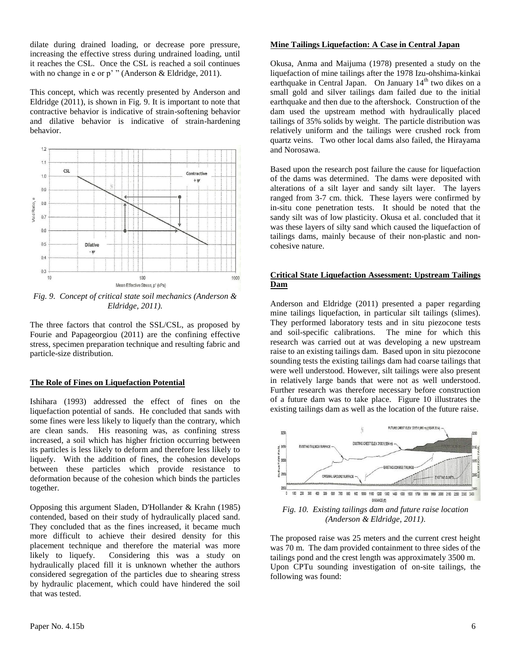dilate during drained loading, or decrease pore pressure, increasing the effective stress during undrained loading, until it reaches the CSL. Once the CSL is reached a soil continues with no change in e or p' " (Anderson & Eldridge, 2011).

This concept, which was recently presented by Anderson and Eldridge (2011), is shown in Fig. 9. It is important to note that contractive behavior is indicative of strain-softening behavior and dilative behavior is indicative of strain-hardening behavior.



*Fig. 9. Concept of critical state soil mechanics (Anderson & Eldridge, 2011).*

The three factors that control the SSL/CSL, as proposed by Fourie and Papageorgiou (2011) are the confining effective stress, specimen preparation technique and resulting fabric and particle-size distribution.

#### **The Role of Fines on Liquefaction Potential**

Ishihara (1993) addressed the effect of fines on the liquefaction potential of sands. He concluded that sands with some fines were less likely to liquefy than the contrary, which are clean sands. His reasoning was, as confining stress increased, a soil which has higher friction occurring between its particles is less likely to deform and therefore less likely to liquefy. With the addition of fines, the cohesion develops between these particles which provide resistance to deformation because of the cohesion which binds the particles together.

Opposing this argument Sladen, D'Hollander & Krahn (1985) contended, based on their study of hydraulically placed sand. They concluded that as the fines increased, it became much more difficult to achieve their desired density for this placement technique and therefore the material was more likely to liquefy. Considering this was a study on hydraulically placed fill it is unknown whether the authors considered segregation of the particles due to shearing stress by hydraulic placement, which could have hindered the soil that was tested.

#### **Mine Tailings Liquefaction: A Case in Central Japan**

Okusa, Anma and Maijuma (1978) presented a study on the liquefaction of mine tailings after the 1978 Izu-ohshima-kinkai earthquake in Central Japan. On January 14<sup>th</sup> two dikes on a small gold and silver tailings dam failed due to the initial earthquake and then due to the aftershock. Construction of the dam used the upstream method with hydraulically placed tailings of 35% solids by weight. The particle distribution was relatively uniform and the tailings were crushed rock from quartz veins. Two other local dams also failed, the Hirayama and Norosawa.

Based upon the research post failure the cause for liquefaction of the dams was determined. The dams were deposited with alterations of a silt layer and sandy silt layer. The layers ranged from 3-7 cm. thick. These layers were confirmed by in-situ cone penetration tests. It should be noted that the sandy silt was of low plasticity. Okusa et al. concluded that it was these layers of silty sand which caused the liquefaction of tailings dams, mainly because of their non-plastic and noncohesive nature.

#### **Critical State Liquefaction Assessment: Upstream Tailings Dam**

Anderson and Eldridge (2011) presented a paper regarding mine tailings liquefaction, in particular silt tailings (slimes). They performed laboratory tests and in situ piezocone tests and soil-specific calibrations. The mine for which this research was carried out at was developing a new upstream raise to an existing tailings dam. Based upon in situ piezocone sounding tests the existing tailings dam had coarse tailings that were well understood. However, silt tailings were also present in relatively large bands that were not as well understood. Further research was therefore necessary before construction of a future dam was to take place. Figure 10 illustrates the existing tailings dam as well as the location of the future raise.



*Fig. 10. Existing tailings dam and future raise location (Anderson & Eldridge, 2011).*

The proposed raise was 25 meters and the current crest height was 70 m. The dam provided containment to three sides of the tailings pond and the crest length was approximately 3500 m. Upon CPTu sounding investigation of on-site tailings, the following was found: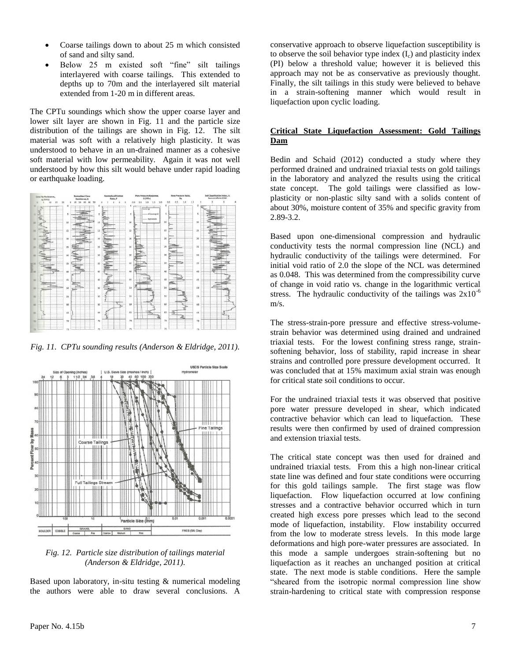- Coarse tailings down to about 25 m which consisted of sand and silty sand.
- Below 25 m existed soft "fine" silt tailings interlayered with coarse tailings. This extended to depths up to 70m and the interlayered silt material extended from 1-20 m in different areas.

The CPTu soundings which show the upper coarse layer and lower silt layer are shown in Fig. 11 and the particle size distribution of the tailings are shown in Fig. 12. The silt material was soft with a relatively high plasticity. It was understood to behave in an un-drained manner as a cohesive soft material with low permeability. Again it was not well understood by how this silt would behave under rapid loading or earthquake loading.



*Fig. 11. CPTu sounding results (Anderson & Eldridge, 2011).*



#### *Fig. 12. Particle size distribution of tailings material (Anderson & Eldridge, 2011).*

Based upon laboratory, in-situ testing & numerical modeling the authors were able to draw several conclusions. A conservative approach to observe liquefaction susceptibility is to observe the soil behavior type index  $(I_c)$  and plasticity index (PI) below a threshold value; however it is believed this approach may not be as conservative as previously thought. Finally, the silt tailings in this study were believed to behave in a strain-softening manner which would result in liquefaction upon cyclic loading.

#### **Critical State Liquefaction Assessment: Gold Tailings Dam**

Bedin and Schaid (2012) conducted a study where they performed drained and undrained triaxial tests on gold tailings in the laboratory and analyzed the results using the critical state concept. The gold tailings were classified as lowplasticity or non-plastic silty sand with a solids content of about 30%, moisture content of 35% and specific gravity from 2.89-3.2.

Based upon one-dimensional compression and hydraulic conductivity tests the normal compression line (NCL) and hydraulic conductivity of the tailings were determined. For initial void ratio of 2.0 the slope of the NCL was determined as 0.048. This was determined from the compressibility curve of change in void ratio vs. change in the logarithmic vertical stress. The hydraulic conductivity of the tailings was  $2x10^{-6}$ m/s.

The stress-strain-pore pressure and effective stress-volumestrain behavior was determined using drained and undrained triaxial tests. For the lowest confining stress range, strainsoftening behavior, loss of stability, rapid increase in shear strains and controlled pore pressure development occurred. It was concluded that at 15% maximum axial strain was enough for critical state soil conditions to occur.

For the undrained triaxial tests it was observed that positive pore water pressure developed in shear, which indicated contractive behavior which can lead to liquefaction. These results were then confirmed by used of drained compression and extension triaxial tests.

The critical state concept was then used for drained and undrained triaxial tests. From this a high non-linear critical state line was defined and four state conditions were occurring for this gold tailings sample. The first stage was flow liquefaction. Flow liquefaction occurred at low confining stresses and a contractive behavior occurred which in turn created high excess pore presses which lead to the second mode of liquefaction, instability. Flow instability occurred from the low to moderate stress levels. In this mode large deformations and high pore-water pressures are associated. In this mode a sample undergoes strain-softening but no liquefaction as it reaches an unchanged position at critical state. The next mode is stable conditions. Here the sample "sheared from the isotropic normal compression line show strain-hardening to critical state with compression response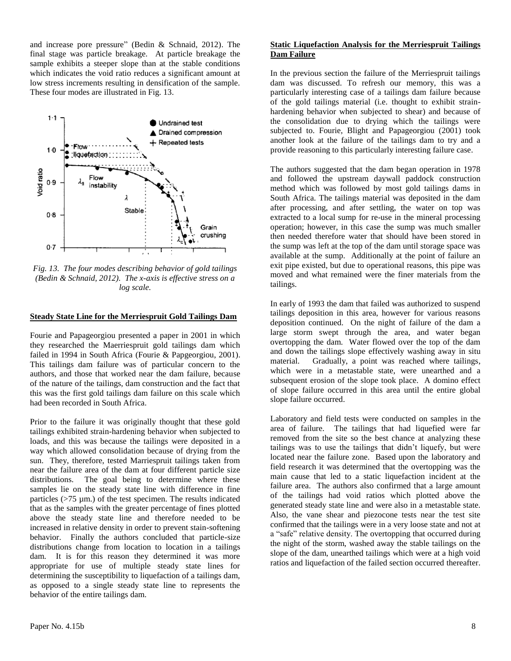and increase pore pressure" (Bedin & Schnaid, 2012). The final stage was particle breakage. At particle breakage the sample exhibits a steeper slope than at the stable conditions which indicates the void ratio reduces a significant amount at low stress increments resulting in densification of the sample. These four modes are illustrated in Fig. 13.



*Fig. 13. The four modes describing behavior of gold tailings (Bedin & Schnaid, 2012). The x-axis is effective stress on a log scale.*

#### **Steady State Line for the Merriespruit Gold Tailings Dam**

Fourie and Papageorgiou presented a paper in 2001 in which they researched the Maerriespruit gold tailings dam which failed in 1994 in South Africa (Fourie & Papgeorgiou, 2001). This tailings dam failure was of particular concern to the authors, and those that worked near the dam failure, because of the nature of the tailings, dam construction and the fact that this was the first gold tailings dam failure on this scale which had been recorded in South Africa.

Prior to the failure it was originally thought that these gold tailings exhibited strain-hardening behavior when subjected to loads, and this was because the tailings were deposited in a way which allowed consolidation because of drying from the sun. They, therefore, tested Marriespruit tailings taken from near the failure area of the dam at four different particle size distributions. The goal being to determine where these samples lie on the steady state line with difference in fine particles  $($ >75  $\mu$ m.) of the test specimen. The results indicated that as the samples with the greater percentage of fines plotted above the steady state line and therefore needed to be increased in relative density in order to prevent stain-softening behavior. Finally the authors concluded that particle-size distributions change from location to location in a tailings dam. It is for this reason they determined it was more appropriate for use of multiple steady state lines for determining the susceptibility to liquefaction of a tailings dam, as opposed to a single steady state line to represents the behavior of the entire tailings dam.

#### **Static Liquefaction Analysis for the Merriespruit Tailings Dam Failure**

In the previous section the failure of the Merriespruit tailings dam was discussed. To refresh our memory, this was a particularly interesting case of a tailings dam failure because of the gold tailings material (i.e. thought to exhibit strainhardening behavior when subjected to shear) and because of the consolidation due to drying which the tailings were subjected to. Fourie, Blight and Papageorgiou (2001) took another look at the failure of the tailings dam to try and a provide reasoning to this particularly interesting failure case.

The authors suggested that the dam began operation in 1978 and followed the upstream daywall paddock construction method which was followed by most gold tailings dams in South Africa. The tailings material was deposited in the dam after processing, and after settling, the water on top was extracted to a local sump for re-use in the mineral processing operation; however, in this case the sump was much smaller then needed therefore water that should have been stored in the sump was left at the top of the dam until storage space was available at the sump. Additionally at the point of failure an exit pipe existed, but due to operational reasons, this pipe was moved and what remained were the finer materials from the tailings.

In early of 1993 the dam that failed was authorized to suspend tailings deposition in this area, however for various reasons deposition continued. On the night of failure of the dam a large storm swept through the area, and water began overtopping the dam. Water flowed over the top of the dam and down the tailings slope effectively washing away in situ material. Gradually, a point was reached where tailings, which were in a metastable state, were unearthed and a subsequent erosion of the slope took place. A domino effect of slope failure occurred in this area until the entire global slope failure occurred.

Laboratory and field tests were conducted on samples in the area of failure. The tailings that had liquefied were far removed from the site so the best chance at analyzing these tailings was to use the tailings that didn't liquefy, but were located near the failure zone. Based upon the laboratory and field research it was determined that the overtopping was the main cause that led to a static liquefaction incident at the failure area. The authors also confirmed that a large amount of the tailings had void ratios which plotted above the generated steady state line and were also in a metastable state. Also, the vane shear and piezocone tests near the test site confirmed that the tailings were in a very loose state and not at a "safe" relative density. The overtopping that occurred during the night of the storm, washed away the stable tailings on the slope of the dam, unearthed tailings which were at a high void ratios and liquefaction of the failed section occurred thereafter.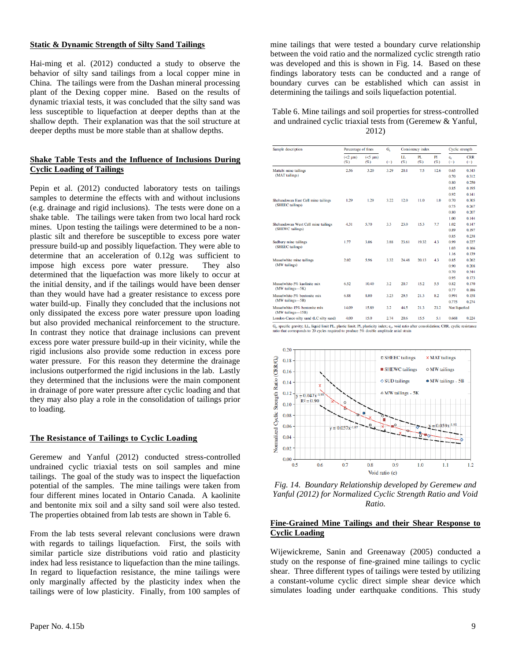#### **Static & Dynamic Strength of Silty Sand Tailings**

Hai-ming et al. (2012) conducted a study to observe the behavior of silty sand tailings from a local copper mine in China. The tailings were from the Dashan mineral processing plant of the Dexing copper mine. Based on the results of dynamic triaxial tests, it was concluded that the silty sand was less susceptible to liquefaction at deeper depths than at the shallow depth. Their explanation was that the soil structure at deeper depths must be more stable than at shallow depths.

#### **Shake Table Tests and the Influence of Inclusions During Cyclic Loading of Tailings**

Pepin et al. (2012) conducted laboratory tests on tailings samples to determine the effects with and without inclusions (e.g. drainage and rigid inclusions). The tests were done on a shake table. The tailings were taken from two local hard rock mines. Upon testing the tailings were determined to be a nonplastic silt and therefore be susceptible to excess pore water pressure build-up and possibly liquefaction. They were able to determine that an acceleration of 0.12g was sufficient to impose high excess pore water pressure. They also determined that the liquefaction was more likely to occur at the initial density, and if the tailings would have been denser than they would have had a greater resistance to excess pore water build-up. Finally they concluded that the inclusions not only dissipated the excess pore water pressure upon loading but also provided mechanical reinforcement to the structure. In contrast they notice that drainage inclusions can prevent excess pore water pressure build-up in their vicinity, while the rigid inclusions also provide some reduction in excess pore water pressure. For this reason they determine the drainage inclusions outperformed the rigid inclusions in the lab. Lastly they determined that the inclusions were the main component in drainage of pore water pressure after cyclic loading and that they may also play a role in the consolidation of tailings prior to loading.

#### **The Resistance of Tailings to Cyclic Loading**

Geremew and Yanful (2012) conducted stress-controlled undrained cyclic triaxial tests on soil samples and mine tailings. The goal of the study was to inspect the liquefaction potential of the samples. The mine tailings were taken from four different mines located in Ontario Canada. A kaolinite and bentonite mix soil and a silty sand soil were also tested. The properties obtained from lab tests are shown in Table 6.

From the lab tests several relevant conclusions were drawn with regards to tailings liquefaction. First, the soils with similar particle size distributions void ratio and plasticity index had less resistance to liquefaction than the mine tailings. In regard to liquefaction resistance, the mine tailings were only marginally affected by the plasticity index when the tailings were of low plasticity. Finally, from 100 samples of

#### Table 6. Mine tailings and soil properties for stress-controlled and undrained cyclic triaxial tests from (Geremew & Yanful, 2012)

| Sample description                                 | Percentage of fines     |                     | G.    | Consistency index |            |           | Cyclic strength  |                     |
|----------------------------------------------------|-------------------------|---------------------|-------|-------------------|------------|-----------|------------------|---------------------|
|                                                    | $(\leq 2 \mu m)$<br>(%) | $(<5 \mu m)$<br>(%) | $(-)$ | LL<br>(%)         | PL.<br>(%) | PI<br>(%) | $e_{c}$<br>$(-)$ | <b>CRR</b><br>$(-)$ |
| Mattabi mine tailings                              | 2.56                    | 3.20                | 3.29  | 20.1              | 7.5        | 12.6      | 0.65             | 0.345               |
| (MAT tailings)                                     |                         |                     |       |                   |            |           | 0.70             | 0.312               |
|                                                    |                         |                     |       |                   |            |           | 0.80             | 0.250               |
|                                                    |                         |                     |       |                   |            |           | 0.85             | 0.195               |
|                                                    |                         |                     |       |                   |            |           | 0.92             | 0.141               |
| Shebandowan East Cell mine tailings                | 1.29                    | 1.29                | 3.22  | 12.0              | 11.0       | 1.0       | 0.70             | 0.305               |
| (SHEEC tailings)                                   |                         |                     |       |                   |            |           | 0.75             | 0.267               |
|                                                    |                         |                     |       |                   |            |           | 0.80             | 0.207               |
|                                                    |                         |                     |       |                   |            |           | 1.00             | 0.144               |
| Shebandowan West Cell mine tailings                | 4.31                    | 5.70                | 3.3   | 23.0              | 15.3       | 7.7       | 1.02             | 0.147               |
| (SHEWC tailings)                                   |                         |                     |       |                   |            |           | 0.89             | 0.197               |
|                                                    |                         |                     |       |                   |            |           | 0.85             | 0.238               |
| Sudbury mine tailings                              | 1.77                    | 3.06                | 3.88  | 23.61             | 19.32      | 4.3       | 0.99             | 0.227               |
| (SHEEC tailings)                                   |                         |                     |       |                   |            |           | 1.03             | 0.166               |
|                                                    |                         |                     |       |                   |            |           | 1.16             | 0.139               |
| Musselwhite mine tailings                          | 2.02                    | 5.96                | 3.32  | 24.48             | 20.13      | 4.3       | 0.85             | 0.262               |
| (MW tailings)                                      |                         |                     |       |                   |            |           | 0.90             | 0.208               |
|                                                    |                         |                     |       |                   |            |           | 0.70             | 0.344               |
|                                                    |                         |                     |       |                   |            |           | 0.95             | 0.173               |
| Musselwhite-5% kaolinite mix                       | 6.52                    | 10.40               | 3.2   | 20.7              | 15.2       | 5.5       | 0.82             | 0.170               |
| (MW tailings-5K)                                   |                         |                     |       |                   |            |           | 0.77             | 0.186               |
| Musselwhite-5% bentonite mix<br>(MW tailings-5B)   | 6.88                    | 8.00                | 3.23  | 29.5              | 21.3       | 8.2       | 0.991            | 0.158               |
|                                                    |                         |                     |       |                   |            |           | 0.775            | 0.274               |
| Musselwhite-15% bentonite mix<br>(MW tailings-15B) | 14.09                   | 15.89               | 3.2   | 44.5              | 21.3       | 23.2      | Not liquefied    |                     |
| London-Casco silty sand (LC silty sand)            | 4.00                    | 15.0                | 2.74  | 20.6              | 15.5       | 5.1       | 0.668            | 0.224               |

 $G_s$ , specific gravity; LL, liquid limit PL, plastic limit; PI, plasticity index;  $e_c$ , void ratio antio that corresponds to 20 cycles required to produce 5% double amplitude axial strain



*Fig. 14. Boundary Relationship developed by Geremew and Yanful (2012) for Normalized Cyclic Strength Ratio and Void Ratio.*

#### **Fine-Grained Mine Tailings and their Shear Response to Cyclic Loading**

Wijewickreme, Sanin and Greenaway (2005) conducted a study on the response of fine-grained mine tailings to cyclic shear. Three different types of tailings were tested by utilizing a constant-volume cyclic direct simple shear device which simulates loading under earthquake conditions. This study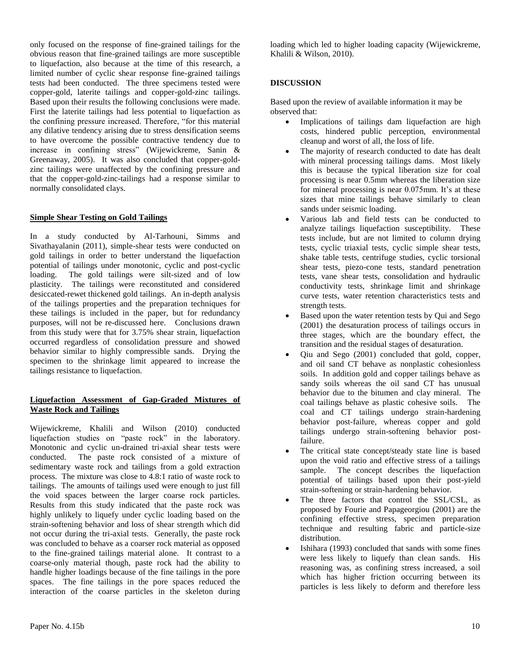only focused on the response of fine-grained tailings for the obvious reason that fine-grained tailings are more susceptible to liquefaction, also because at the time of this research, a limited number of cyclic shear response fine-grained tailings tests had been conducted. The three specimens tested were copper-gold, laterite tailings and copper-gold-zinc tailings. Based upon their results the following conclusions were made. First the laterite tailings had less potential to liquefaction as the confining pressure increased. Therefore, "for this material any dilative tendency arising due to stress densification seems to have overcome the possible contractive tendency due to increase in confining stress" (Wijewickreme, Sanin & Greenaway, 2005). It was also concluded that copper-goldzinc tailings were unaffected by the confining pressure and that the copper-gold-zinc-tailings had a response similar to normally consolidated clays.

#### **Simple Shear Testing on Gold Tailings**

In a study conducted by Al-Tarhouni, Simms and Sivathayalanin (2011), simple-shear tests were conducted on gold tailings in order to better understand the liquefaction potential of tailings under monotonic, cyclic and post-cyclic loading. The gold tailings were silt-sized and of low plasticity. The tailings were reconstituted and considered desiccated-rewet thickened gold tailings. An in-depth analysis of the tailings properties and the preparation techniques for these tailings is included in the paper, but for redundancy purposes, will not be re-discussed here. Conclusions drawn from this study were that for 3.75% shear strain, liquefaction occurred regardless of consolidation pressure and showed behavior similar to highly compressible sands. Drying the specimen to the shrinkage limit appeared to increase the tailings resistance to liquefaction.

#### **Liquefaction Assessment of Gap-Graded Mixtures of Waste Rock and Tailings**

Wijewickreme, Khalili and Wilson (2010) conducted liquefaction studies on "paste rock" in the laboratory. Monotonic and cyclic un-drained tri-axial shear tests were conducted. The paste rock consisted of a mixture of sedimentary waste rock and tailings from a gold extraction process. The mixture was close to 4.8:1 ratio of waste rock to tailings. The amounts of tailings used were enough to just fill the void spaces between the larger coarse rock particles. Results from this study indicated that the paste rock was highly unlikely to liquefy under cyclic loading based on the strain-softening behavior and loss of shear strength which did not occur during the tri-axial tests. Generally, the paste rock was concluded to behave as a coarser rock material as opposed to the fine-grained tailings material alone. It contrast to a coarse-only material though, paste rock had the ability to handle higher loadings because of the fine tailings in the pore spaces. The fine tailings in the pore spaces reduced the interaction of the coarse particles in the skeleton during

loading which led to higher loading capacity (Wijewickreme, Khalili & Wilson, 2010).

#### **DISCUSSION**

Based upon the review of available information it may be observed that:

- Implications of tailings dam liquefaction are high costs, hindered public perception, environmental cleanup and worst of all, the loss of life.
- The majority of research conducted to date has dealt with mineral processing tailings dams. Most likely this is because the typical liberation size for coal processing is near 0.5mm whereas the liberation size for mineral processing is near 0.075mm. It's at these sizes that mine tailings behave similarly to clean sands under seismic loading.
- Various lab and field tests can be conducted to analyze tailings liquefaction susceptibility. These tests include, but are not limited to column drying tests, cyclic triaxial tests, cyclic simple shear tests, shake table tests, centrifuge studies, cyclic torsional shear tests, piezo-cone tests, standard penetration tests, vane shear tests, consolidation and hydraulic conductivity tests, shrinkage limit and shrinkage curve tests, water retention characteristics tests and strength tests.
- Based upon the water retention tests by Qui and Sego (2001) the desaturation process of tailings occurs in three stages, which are the boundary effect, the transition and the residual stages of desaturation.
- Qiu and Sego (2001) concluded that gold, copper, and oil sand CT behave as nonplastic cohesionless soils. In addition gold and copper tailings behave as sandy soils whereas the oil sand CT has unusual behavior due to the bitumen and clay mineral. The coal tailings behave as plastic cohesive soils. The coal and CT tailings undergo strain-hardening behavior post-failure, whereas copper and gold tailings undergo strain-softening behavior postfailure.
- The critical state concept/steady state line is based upon the void ratio and effective stress of a tailings sample. The concept describes the liquefaction potential of tailings based upon their post-yield strain-softening or strain-hardening behavior.
- The three factors that control the SSL/CSL, as proposed by Fourie and Papageorgiou (2001) are the confining effective stress, specimen preparation technique and resulting fabric and particle-size distribution.
- Ishihara (1993) concluded that sands with some fines were less likely to liquefy than clean sands. His reasoning was, as confining stress increased, a soil which has higher friction occurring between its particles is less likely to deform and therefore less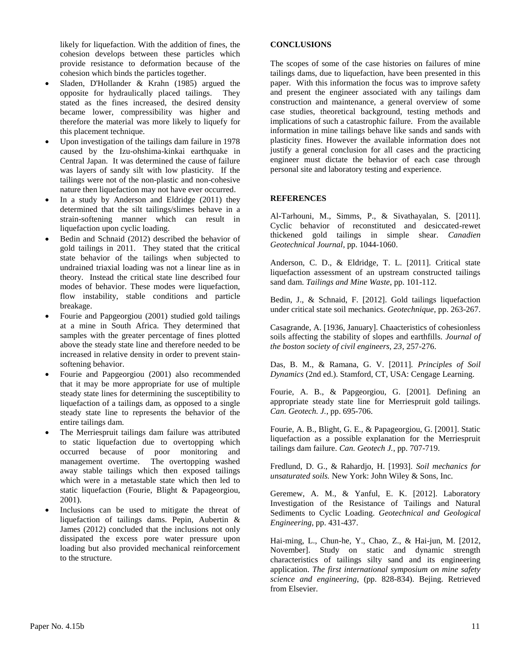likely for liquefaction. With the addition of fines, the cohesion develops between these particles which provide resistance to deformation because of the cohesion which binds the particles together.

- Sladen, D'Hollander & Krahn (1985) argued the opposite for hydraulically placed tailings. They stated as the fines increased, the desired density became lower, compressibility was higher and therefore the material was more likely to liquefy for this placement technique.
- Upon investigation of the tailings dam failure in 1978 caused by the Izu-ohshima-kinkai earthquake in Central Japan. It was determined the cause of failure was layers of sandy silt with low plasticity. If the tailings were not of the non-plastic and non-cohesive nature then liquefaction may not have ever occurred.
- In a study by Anderson and Eldridge (2011) they determined that the silt tailings/slimes behave in a strain-softening manner which can result in liquefaction upon cyclic loading.
- Bedin and Schnaid (2012) described the behavior of gold tailings in 2011. They stated that the critical state behavior of the tailings when subjected to undrained triaxial loading was not a linear line as in theory. Instead the critical state line described four modes of behavior. These modes were liquefaction, flow instability, stable conditions and particle breakage.
- Fourie and Papgeorgiou (2001) studied gold tailings at a mine in South Africa. They determined that samples with the greater percentage of fines plotted above the steady state line and therefore needed to be increased in relative density in order to prevent stainsoftening behavior.
- Fourie and Papgeorgiou (2001) also recommended that it may be more appropriate for use of multiple steady state lines for determining the susceptibility to liquefaction of a tailings dam, as opposed to a single steady state line to represents the behavior of the entire tailings dam.
- The Merriespruit tailings dam failure was attributed to static liquefaction due to overtopping which occurred because of poor monitoring and management overtime. The overtopping washed away stable tailings which then exposed tailings which were in a metastable state which then led to static liquefaction (Fourie, Blight & Papageorgiou, 2001).
- Inclusions can be used to mitigate the threat of liquefaction of tailings dams. Pepin, Aubertin & James (2012) concluded that the inclusions not only dissipated the excess pore water pressure upon loading but also provided mechanical reinforcement to the structure.

#### **CONCLUSIONS**

The scopes of some of the case histories on failures of mine tailings dams, due to liquefaction, have been presented in this paper. With this information the focus was to improve safety and present the engineer associated with any tailings dam construction and maintenance, a general overview of some case studies, theoretical background, testing methods and implications of such a catastrophic failure. From the available information in mine tailings behave like sands and sands with plasticity fines. However the available information does not justify a general conclusion for all cases and the practicing engineer must dictate the behavior of each case through personal site and laboratory testing and experience.

#### **REFERENCES**

Al-Tarhouni, M., Simms, P., & Sivathayalan, S. [2011]. Cyclic behavior of reconstituted and desiccated-rewet thickened gold tailings in simple shear. *Canadien Geotechnical Journal*, pp. 1044-1060.

Anderson, C. D., & Eldridge, T. L. [2011]. Critical state liquefaction assessment of an upstream constructed tailings sand dam. *Tailings and Mine Waste*, pp. 101-112.

Bedin, J., & Schnaid, F. [2012]. Gold tailings liquefaction under critical state soil mechanics. *Geotechnique*, pp. 263-267.

Casagrande, A. [1936, January]. Chaacteristics of cohesionless soils affecting the stability of slopes and earthfills. *Journal of the boston society of civil engineers, 23*, 257-276.

Das, B. M., & Ramana, G. V. [2011]. *Principles of Soil Dynamics* (2nd ed.). Stamford, CT, USA: Cengage Learning.

Fourie, A. B., & Papgeorgiou, G. [2001]. Defining an appropriate steady state line for Merriespruit gold tailings. *Can. Geotech. J.*, pp. 695-706.

Fourie, A. B., Blight, G. E., & Papageorgiou, G. [2001]. Static liquefaction as a possible explanation for the Merriespruit tailings dam failure. *Can. Geotech J.*, pp. 707-719.

Fredlund, D. G., & Rahardjo, H. [1993]. *Soil mechanics for unsaturated soils.* New York: John Wiley & Sons, Inc.

Geremew, A. M., & Yanful, E. K. [2012]. Laboratory Investigation of the Resistance of Tailings and Natural Sediments to Cyclic Loading. *Geotechnical and Geological Engineering*, pp. 431-437.

Hai-ming, L., Chun-he, Y., Chao, Z., & Hai-jun, M. [2012, November]. Study on static and dynamic strength characteristics of tailings silty sand and its engineering application. *The first international symposium on mine safety science and engineering*, (pp. 828-834). Bejing. Retrieved from Elsevier.